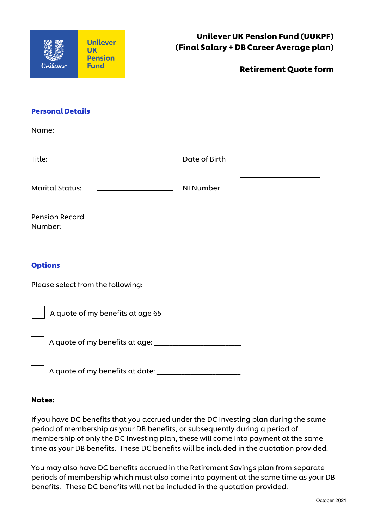| <b>Unilever UK Pension Fund (UUKPF)</b><br>(Final Salary + DB Career Average plan) | <b>Unilever</b><br><b>Pension</b> |          |
|------------------------------------------------------------------------------------|-----------------------------------|----------|
| <b>Retirement Quote form</b>                                                       | <b>Fund</b>                       | Unilever |

#### Personal Details

| Name:                             |                                         |               |  |  |  |
|-----------------------------------|-----------------------------------------|---------------|--|--|--|
| Title:                            |                                         | Date of Birth |  |  |  |
| <b>Marital Status:</b>            |                                         | NI Number     |  |  |  |
| <b>Pension Record</b><br>Number:  |                                         |               |  |  |  |
| <b>Options</b>                    |                                         |               |  |  |  |
| Please select from the following: |                                         |               |  |  |  |
| A quote of my benefits at age 65  |                                         |               |  |  |  |
|                                   |                                         |               |  |  |  |
|                                   | A quote of my benefits at date: _______ |               |  |  |  |

#### Notes:

If you have DC benefits that you accrued under the DC Investing plan during the same period of membership as your DB benefits, or subsequently during a period of membership of only the DC Investing plan, these will come into payment at the same time as your DB benefits. These DC benefits will be included in the quotation provided.

You may also have DC benefits accrued in the Retirement Savings plan from separate periods of membership which must also come into payment at the same time as your DB benefits. These DC benefits will not be included in the quotation provided.